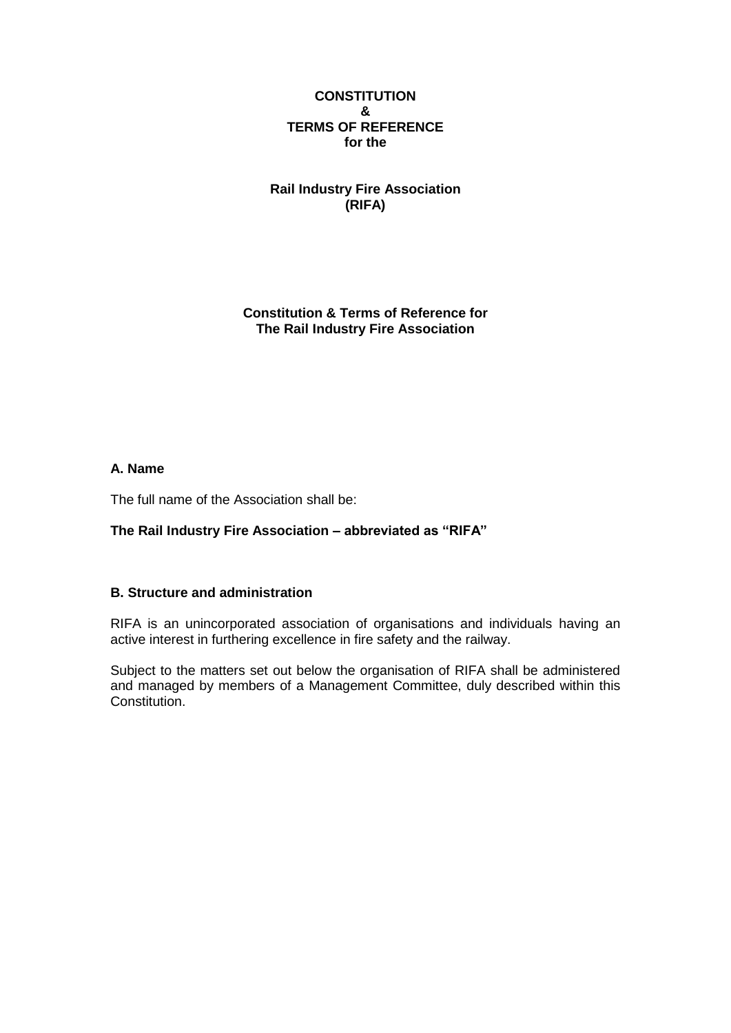## **CONSTITUTION & TERMS OF REFERENCE for the**

**Rail Industry Fire Association (RIFA)**

**Constitution & Terms of Reference for The Rail Industry Fire Association**

## **A. Name**

The full name of the Association shall be:

## **The Rail Industry Fire Association – abbreviated as "RIFA"**

## **B. Structure and administration**

RIFA is an unincorporated association of organisations and individuals having an active interest in furthering excellence in fire safety and the railway.

Subject to the matters set out below the organisation of RIFA shall be administered and managed by members of a Management Committee, duly described within this Constitution.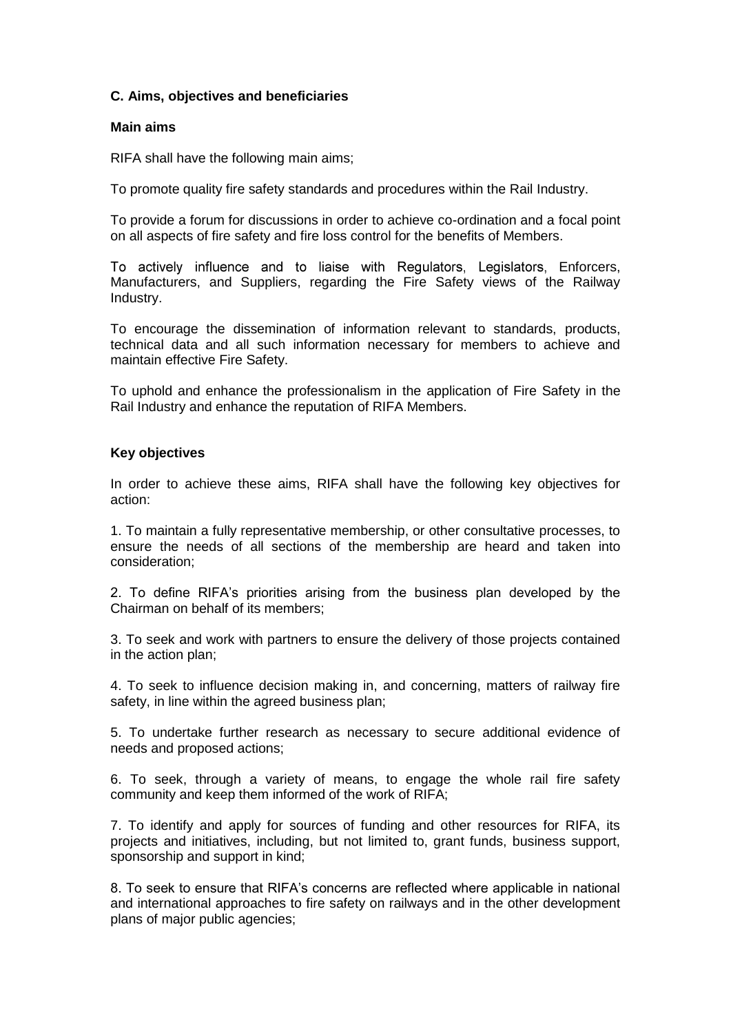## **C. Aims, objectives and beneficiaries**

#### **Main aims**

RIFA shall have the following main aims;

To promote quality fire safety standards and procedures within the Rail Industry.

To provide a forum for discussions in order to achieve co-ordination and a focal point on all aspects of fire safety and fire loss control for the benefits of Members.

To actively influence and to liaise with Regulators, Legislators, Enforcers, Manufacturers, and Suppliers, regarding the Fire Safety views of the Railway Industry.

To encourage the dissemination of information relevant to standards, products, technical data and all such information necessary for members to achieve and maintain effective Fire Safety.

To uphold and enhance the professionalism in the application of Fire Safety in the Rail Industry and enhance the reputation of RIFA Members.

## **Key objectives**

In order to achieve these aims, RIFA shall have the following key objectives for action:

1. To maintain a fully representative membership, or other consultative processes, to ensure the needs of all sections of the membership are heard and taken into consideration;

2. To define RIFA's priorities arising from the business plan developed by the Chairman on behalf of its members;

3. To seek and work with partners to ensure the delivery of those projects contained in the action plan;

4. To seek to influence decision making in, and concerning, matters of railway fire safety, in line within the agreed business plan;

5. To undertake further research as necessary to secure additional evidence of needs and proposed actions;

6. To seek, through a variety of means, to engage the whole rail fire safety community and keep them informed of the work of RIFA;

7. To identify and apply for sources of funding and other resources for RIFA, its projects and initiatives, including, but not limited to, grant funds, business support, sponsorship and support in kind;

8. To seek to ensure that RIFA's concerns are reflected where applicable in national and international approaches to fire safety on railways and in the other development plans of major public agencies;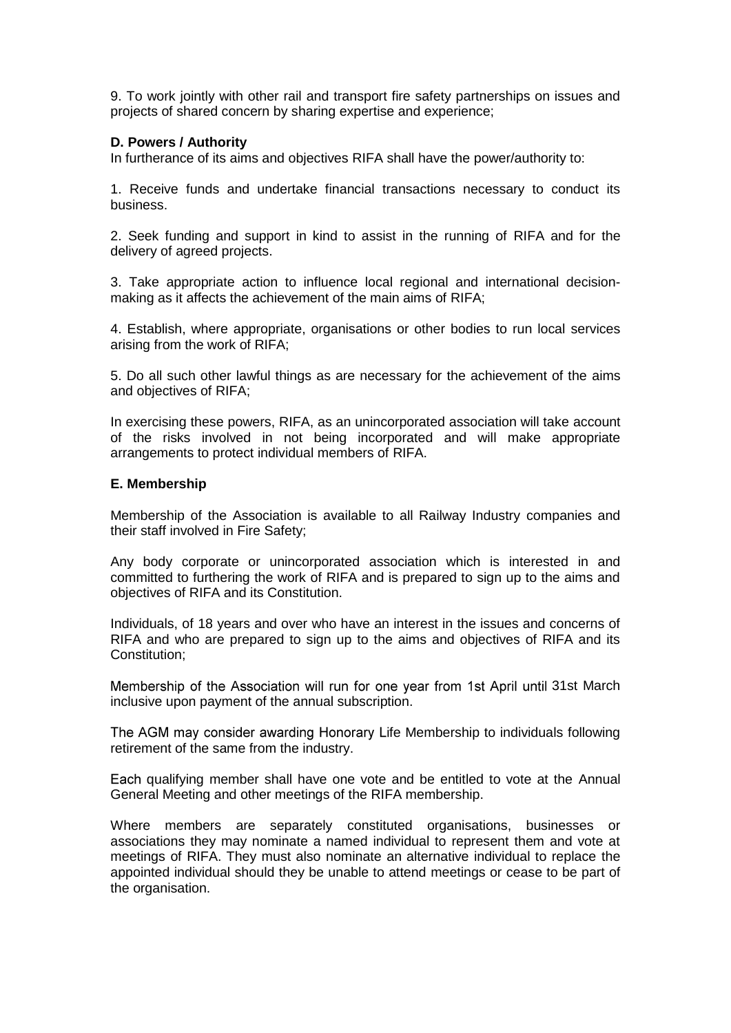9. To work jointly with other rail and transport fire safety partnerships on issues and projects of shared concern by sharing expertise and experience;

#### **D. Powers / Authority**

In furtherance of its aims and objectives RIFA shall have the power/authority to:

1. Receive funds and undertake financial transactions necessary to conduct its business.

2. Seek funding and support in kind to assist in the running of RIFA and for the delivery of agreed projects.

3. Take appropriate action to influence local regional and international decisionmaking as it affects the achievement of the main aims of RIFA;

4. Establish, where appropriate, organisations or other bodies to run local services arising from the work of RIFA;

5. Do all such other lawful things as are necessary for the achievement of the aims and objectives of RIFA;

In exercising these powers, RIFA, as an unincorporated association will take account of the risks involved in not being incorporated and will make appropriate arrangements to protect individual members of RIFA.

#### **E. Membership**

Membership of the Association is available to all Railway Industry companies and their staff involved in Fire Safety;

Any body corporate or unincorporated association which is interested in and committed to furthering the work of RIFA and is prepared to sign up to the aims and objectives of RIFA and its Constitution.

Individuals, of 18 years and over who have an interest in the issues and concerns of RIFA and who are prepared to sign up to the aims and objectives of RIFA and its Constitution:

Membership of the Association will run for one year from 1st April until 31st March inclusive upon payment of the annual subscription.

The AGM may consider awarding Honorary Life Membership to individuals following retirement of the same from the industry.

Each qualifying member shall have one vote and be entitled to vote at the Annual General Meeting and other meetings of the RIFA membership.

Where members are separately constituted organisations, businesses or associations they may nominate a named individual to represent them and vote at meetings of RIFA. They must also nominate an alternative individual to replace the appointed individual should they be unable to attend meetings or cease to be part of the organisation.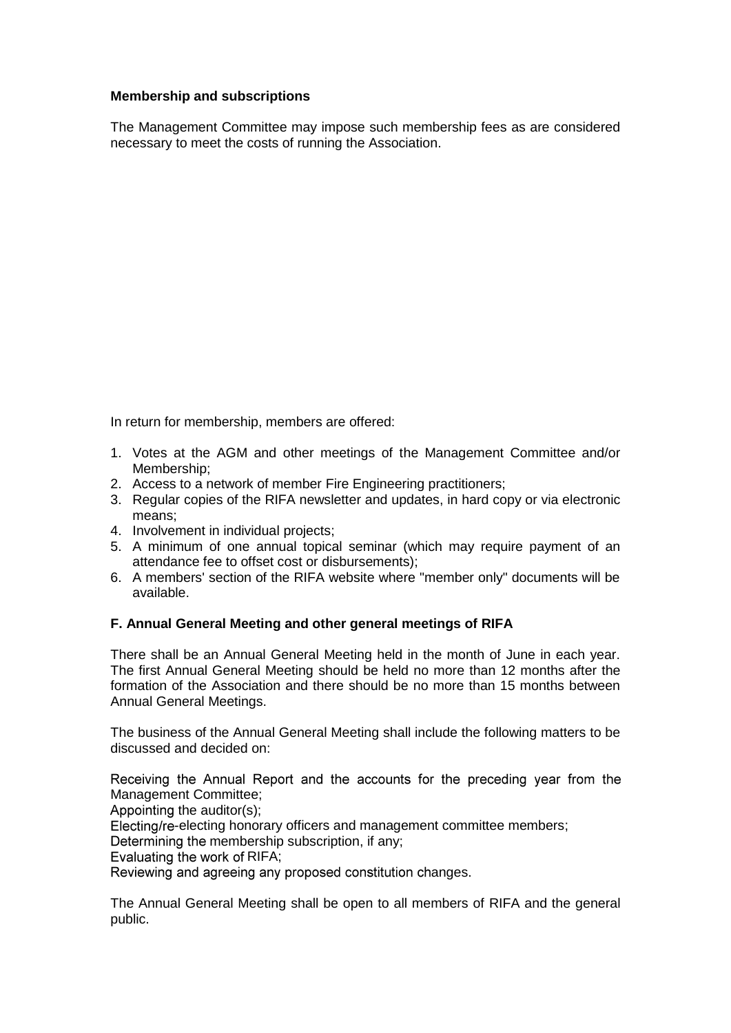## **Membership and subscriptions**

The Management Committee may impose such membership fees as are considered necessary to meet the costs of running the Association.

In return for membership, members are offered:

- 1. Votes at the AGM and other meetings of the Management Committee and/or Membership;
- 2. Access to a network of member Fire Engineering practitioners;
- 3. Regular copies of the RIFA newsletter and updates, in hard copy or via electronic means;
- 4. Involvement in individual projects;
- 5. A minimum of one annual topical seminar (which may require payment of an attendance fee to offset cost or disbursements);
- 6. A members' section of the RIFA website where "member only" documents will be available.

## **F. Annual General Meeting and other general meetings of RIFA**

There shall be an Annual General Meeting held in the month of June in each year. The first Annual General Meeting should be held no more than 12 months after the formation of the Association and there should be no more than 15 months between Annual General Meetings.

The business of the Annual General Meeting shall include the following matters to be discussed and decided on:

Receiving the Annual Report and the accounts for the preceding year from the Management Committee;

Appointing the auditor(s);

Electing/re-electing honorary officers and management committee members;

Determining the membership subscription, if any;

Evaluating the work of RIFA:

Reviewing and agreeing any proposed constitution changes.

The Annual General Meeting shall be open to all members of RIFA and the general public.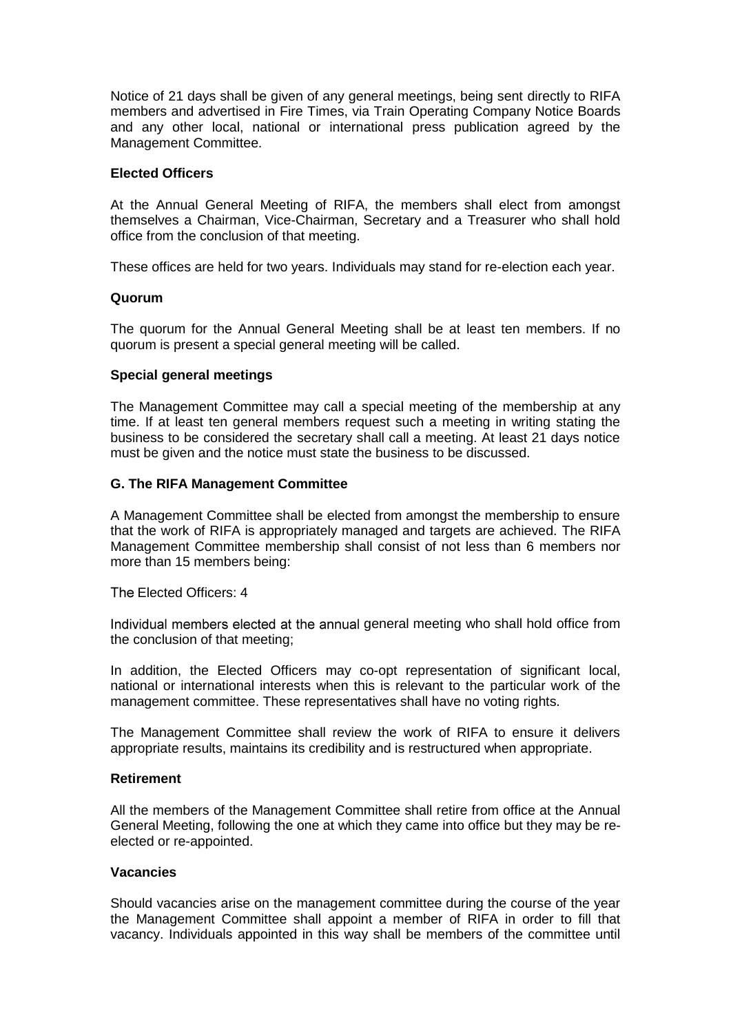Notice of 21 days shall be given of any general meetings, being sent directly to RIFA members and advertised in Fire Times, via Train Operating Company Notice Boards and any other local, national or international press publication agreed by the Management Committee.

#### **Elected Officers**

At the Annual General Meeting of RIFA, the members shall elect from amongst themselves a Chairman, Vice-Chairman, Secretary and a Treasurer who shall hold office from the conclusion of that meeting.

These offices are held for two years. Individuals may stand for re-election each year.

## **Quorum**

The quorum for the Annual General Meeting shall be at least ten members. If no quorum is present a special general meeting will be called.

## **Special general meetings**

The Management Committee may call a special meeting of the membership at any time. If at least ten general members request such a meeting in writing stating the business to be considered the secretary shall call a meeting. At least 21 days notice must be given and the notice must state the business to be discussed.

## **G. The RIFA Management Committee**

A Management Committee shall be elected from amongst the membership to ensure that the work of RIFA is appropriately managed and targets are achieved. The RIFA Management Committee membership shall consist of not less than 6 members nor more than 15 members being:

The Elected Officers: 4

Individual members elected at the annual general meeting who shall hold office from the conclusion of that meeting;

In addition, the Elected Officers may co-opt representation of significant local, national or international interests when this is relevant to the particular work of the management committee. These representatives shall have no voting rights.

The Management Committee shall review the work of RIFA to ensure it delivers appropriate results, maintains its credibility and is restructured when appropriate.

#### **Retirement**

All the members of the Management Committee shall retire from office at the Annual General Meeting, following the one at which they came into office but they may be reelected or re-appointed.

#### **Vacancies**

Should vacancies arise on the management committee during the course of the year the Management Committee shall appoint a member of RIFA in order to fill that vacancy. Individuals appointed in this way shall be members of the committee until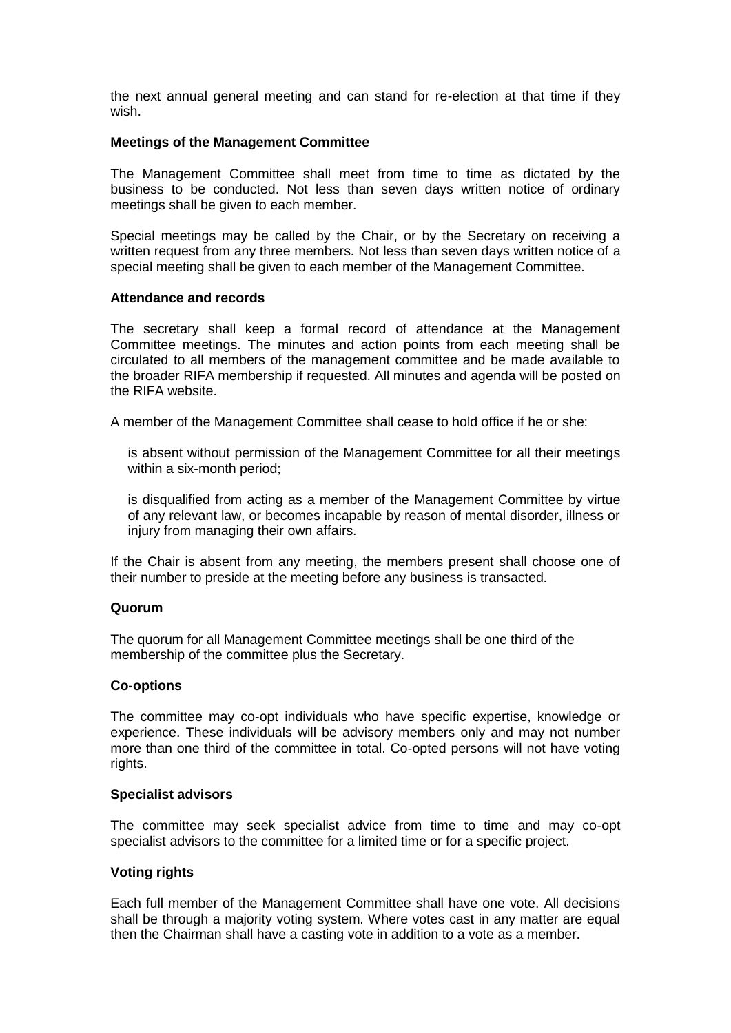the next annual general meeting and can stand for re-election at that time if they wish.

#### **Meetings of the Management Committee**

The Management Committee shall meet from time to time as dictated by the business to be conducted. Not less than seven days written notice of ordinary meetings shall be given to each member.

Special meetings may be called by the Chair, or by the Secretary on receiving a written request from any three members. Not less than seven days written notice of a special meeting shall be given to each member of the Management Committee.

#### **Attendance and records**

The secretary shall keep a formal record of attendance at the Management Committee meetings. The minutes and action points from each meeting shall be circulated to all members of the management committee and be made available to the broader RIFA membership if requested. All minutes and agenda will be posted on the RIFA website.

A member of the Management Committee shall cease to hold office if he or she:

is absent without permission of the Management Committee for all their meetings within a six-month period;

is disqualified from acting as a member of the Management Committee by virtue of any relevant law, or becomes incapable by reason of mental disorder, illness or injury from managing their own affairs.

If the Chair is absent from any meeting, the members present shall choose one of their number to preside at the meeting before any business is transacted.

#### **Quorum**

The quorum for all Management Committee meetings shall be one third of the membership of the committee plus the Secretary.

#### **Co-options**

The committee may co-opt individuals who have specific expertise, knowledge or experience. These individuals will be advisory members only and may not number more than one third of the committee in total. Co-opted persons will not have voting rights.

#### **Specialist advisors**

The committee may seek specialist advice from time to time and may co-opt specialist advisors to the committee for a limited time or for a specific project.

#### **Voting rights**

Each full member of the Management Committee shall have one vote. All decisions shall be through a majority voting system. Where votes cast in any matter are equal then the Chairman shall have a casting vote in addition to a vote as a member.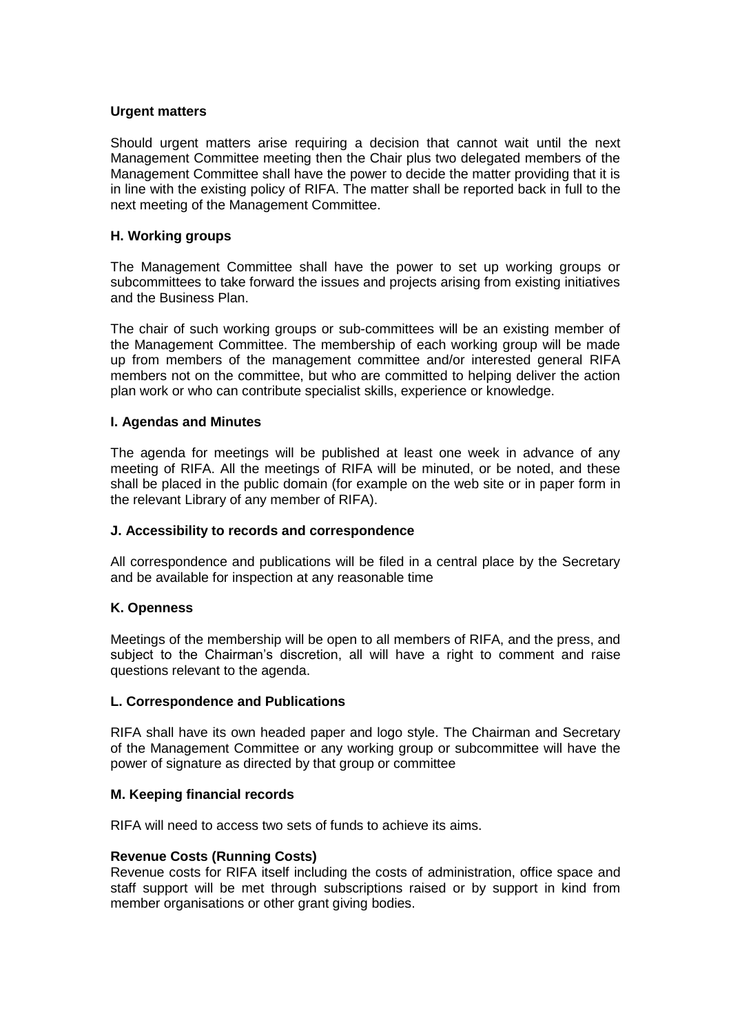## **Urgent matters**

Should urgent matters arise requiring a decision that cannot wait until the next Management Committee meeting then the Chair plus two delegated members of the Management Committee shall have the power to decide the matter providing that it is in line with the existing policy of RIFA. The matter shall be reported back in full to the next meeting of the Management Committee.

## **H. Working groups**

The Management Committee shall have the power to set up working groups or subcommittees to take forward the issues and projects arising from existing initiatives and the Business Plan.

The chair of such working groups or sub-committees will be an existing member of the Management Committee. The membership of each working group will be made up from members of the management committee and/or interested general RIFA members not on the committee, but who are committed to helping deliver the action plan work or who can contribute specialist skills, experience or knowledge.

## **I. Agendas and Minutes**

The agenda for meetings will be published at least one week in advance of any meeting of RIFA. All the meetings of RIFA will be minuted, or be noted, and these shall be placed in the public domain (for example on the web site or in paper form in the relevant Library of any member of RIFA).

#### **J. Accessibility to records and correspondence**

All correspondence and publications will be filed in a central place by the Secretary and be available for inspection at any reasonable time

#### **K. Openness**

Meetings of the membership will be open to all members of RIFA, and the press, and subject to the Chairman's discretion, all will have a right to comment and raise questions relevant to the agenda.

#### **L. Correspondence and Publications**

RIFA shall have its own headed paper and logo style. The Chairman and Secretary of the Management Committee or any working group or subcommittee will have the power of signature as directed by that group or committee

#### **M. Keeping financial records**

RIFA will need to access two sets of funds to achieve its aims.

#### **Revenue Costs (Running Costs)**

Revenue costs for RIFA itself including the costs of administration, office space and staff support will be met through subscriptions raised or by support in kind from member organisations or other grant giving bodies.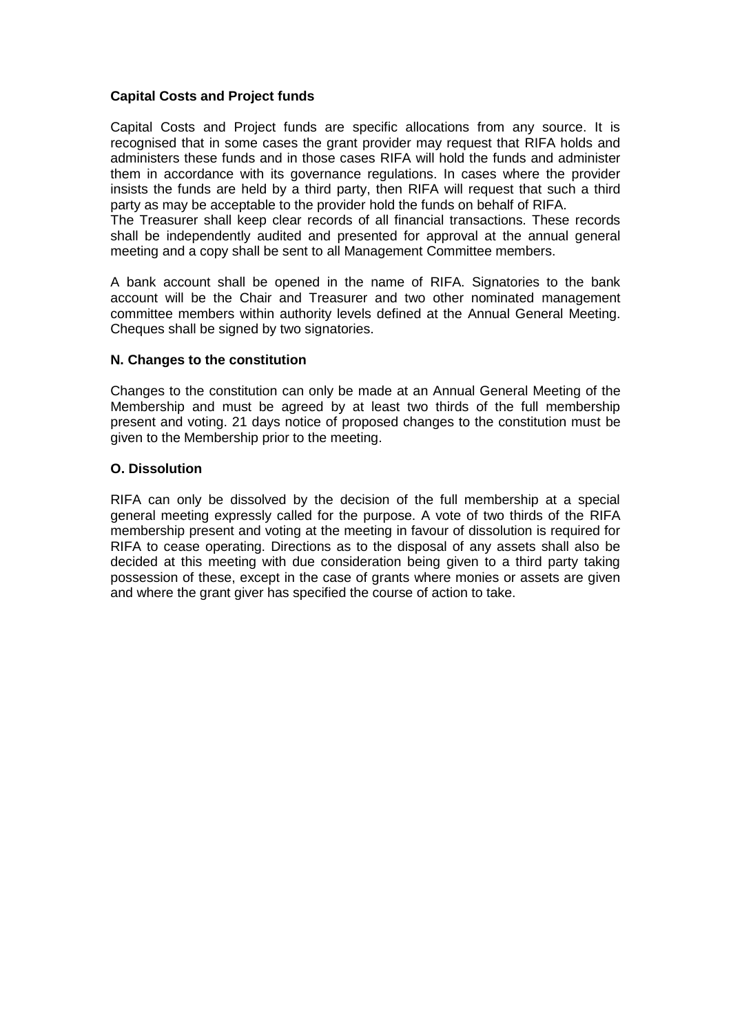## **Capital Costs and Project funds**

Capital Costs and Project funds are specific allocations from any source. It is recognised that in some cases the grant provider may request that RIFA holds and administers these funds and in those cases RIFA will hold the funds and administer them in accordance with its governance regulations. In cases where the provider insists the funds are held by a third party, then RIFA will request that such a third party as may be acceptable to the provider hold the funds on behalf of RIFA.

The Treasurer shall keep clear records of all financial transactions. These records shall be independently audited and presented for approval at the annual general meeting and a copy shall be sent to all Management Committee members.

A bank account shall be opened in the name of RIFA. Signatories to the bank account will be the Chair and Treasurer and two other nominated management committee members within authority levels defined at the Annual General Meeting. Cheques shall be signed by two signatories.

## **N. Changes to the constitution**

Changes to the constitution can only be made at an Annual General Meeting of the Membership and must be agreed by at least two thirds of the full membership present and voting. 21 days notice of proposed changes to the constitution must be given to the Membership prior to the meeting.

#### **O. Dissolution**

RIFA can only be dissolved by the decision of the full membership at a special general meeting expressly called for the purpose. A vote of two thirds of the RIFA membership present and voting at the meeting in favour of dissolution is required for RIFA to cease operating. Directions as to the disposal of any assets shall also be decided at this meeting with due consideration being given to a third party taking possession of these, except in the case of grants where monies or assets are given and where the grant giver has specified the course of action to take.